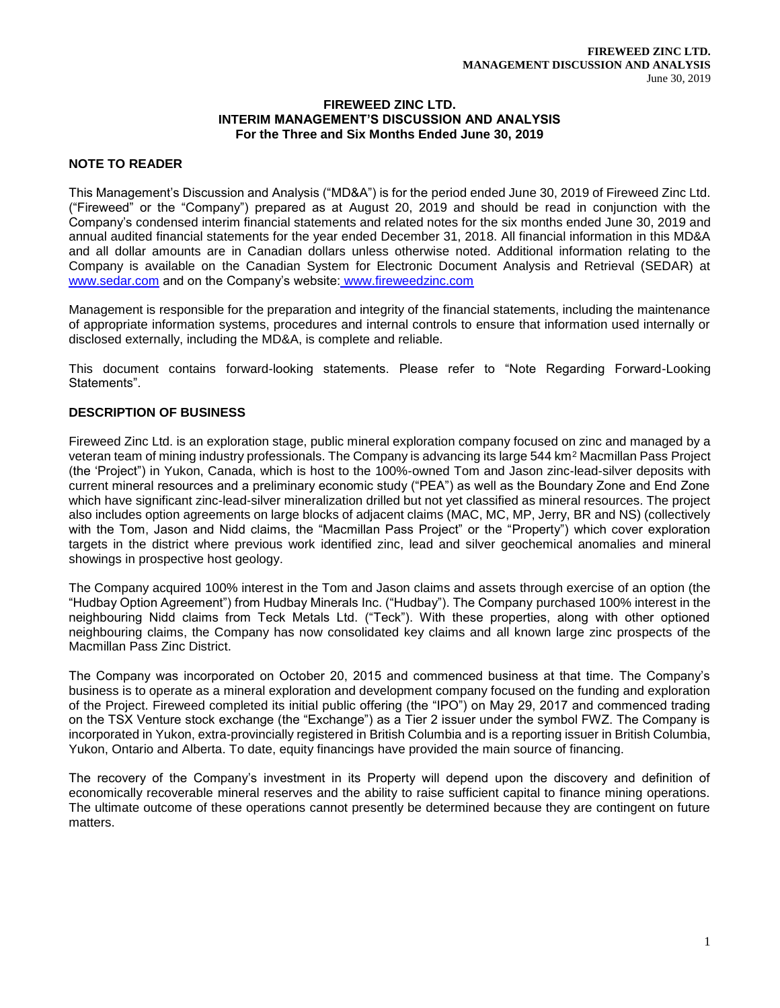#### **FIREWEED ZINC LTD. INTERIM MANAGEMENT'S DISCUSSION AND ANALYSIS For the Three and Six Months Ended June 30, 2019**

## **NOTE TO READER**

This Management's Discussion and Analysis ("MD&A") is for the period ended June 30, 2019 of Fireweed Zinc Ltd. ("Fireweed" or the "Company") prepared as at August 20, 2019 and should be read in conjunction with the Company's condensed interim financial statements and related notes for the six months ended June 30, 2019 and annual audited financial statements for the year ended December 31, 2018. All financial information in this MD&A and all dollar amounts are in Canadian dollars unless otherwise noted. Additional information relating to the Company is available on the Canadian System for Electronic Document Analysis and Retrieval (SEDAR) at [www.sedar.com](http://www.sedar.com/) and on the Company's website: www.fireweedzinc.com

Management is responsible for the preparation and integrity of the financial statements, including the maintenance of appropriate information systems, procedures and internal controls to ensure that information used internally or disclosed externally, including the MD&A, is complete and reliable.

This document contains forward-looking statements. Please refer to "Note Regarding Forward-Looking Statements".

## **DESCRIPTION OF BUSINESS**

Fireweed Zinc Ltd. is an exploration stage, public mineral exploration company focused on zinc and managed by a veteran team of mining industry professionals. The Company is advancing its large 544 km<sup>2</sup> Macmillan Pass Project (the 'Project") in Yukon, Canada, which is host to the 100%-owned Tom and Jason zinc-lead-silver deposits with current mineral resources and a preliminary economic study ("PEA") as well as the Boundary Zone and End Zone which have significant zinc-lead-silver mineralization drilled but not yet classified as mineral resources. The project also includes option agreements on large blocks of adjacent claims (MAC, MC, MP, Jerry, BR and NS) (collectively with the Tom, Jason and Nidd claims, the "Macmillan Pass Project" or the "Property") which cover exploration targets in the district where previous work identified zinc, lead and silver geochemical anomalies and mineral showings in prospective host geology.

The Company acquired 100% interest in the Tom and Jason claims and assets through exercise of an option (the "Hudbay Option Agreement") from Hudbay Minerals Inc. ("Hudbay"). The Company purchased 100% interest in the neighbouring Nidd claims from Teck Metals Ltd. ("Teck"). With these properties, along with other optioned neighbouring claims, the Company has now consolidated key claims and all known large zinc prospects of the Macmillan Pass Zinc District.

The Company was incorporated on October 20, 2015 and commenced business at that time. The Company's business is to operate as a mineral exploration and development company focused on the funding and exploration of the Project. Fireweed completed its initial public offering (the "IPO") on May 29, 2017 and commenced trading on the TSX Venture stock exchange (the "Exchange") as a Tier 2 issuer under the symbol FWZ. The Company is incorporated in Yukon, extra-provincially registered in British Columbia and is a reporting issuer in British Columbia, Yukon, Ontario and Alberta. To date, equity financings have provided the main source of financing.

The recovery of the Company's investment in its Property will depend upon the discovery and definition of economically recoverable mineral reserves and the ability to raise sufficient capital to finance mining operations. The ultimate outcome of these operations cannot presently be determined because they are contingent on future matters.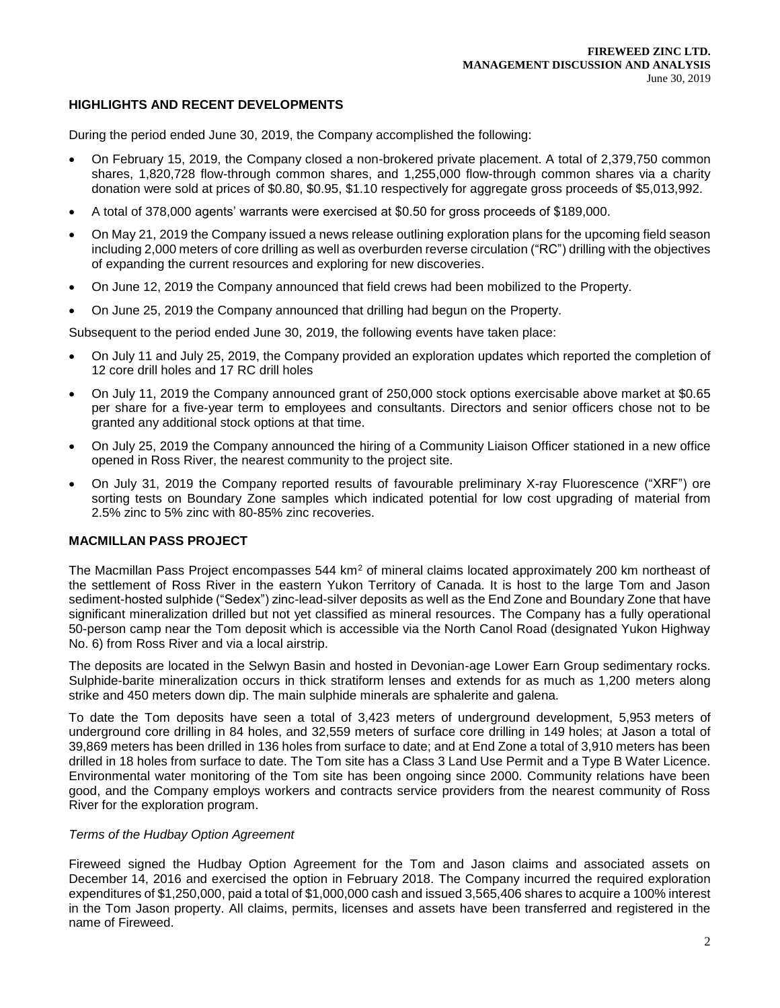## **HIGHLIGHTS AND RECENT DEVELOPMENTS**

During the period ended June 30, 2019, the Company accomplished the following:

- On February 15, 2019, the Company closed a non-brokered private placement. A total of 2,379,750 common shares, 1,820,728 flow-through common shares, and 1,255,000 flow-through common shares via a charity donation were sold at prices of \$0.80, \$0.95, \$1.10 respectively for aggregate gross proceeds of \$5,013,992.
- A total of 378,000 agents' warrants were exercised at \$0.50 for gross proceeds of \$189,000.
- On May 21, 2019 the Company issued a news release outlining exploration plans for the upcoming field season including 2,000 meters of core drilling as well as overburden reverse circulation ("RC") drilling with the objectives of expanding the current resources and exploring for new discoveries.
- On June 12, 2019 the Company announced that field crews had been mobilized to the Property.
- On June 25, 2019 the Company announced that drilling had begun on the Property.

Subsequent to the period ended June 30, 2019, the following events have taken place:

- On July 11 and July 25, 2019, the Company provided an exploration updates which reported the completion of 12 core drill holes and 17 RC drill holes
- On July 11, 2019 the Company announced grant of 250,000 stock options exercisable above market at \$0.65 per share for a five-year term to employees and consultants. Directors and senior officers chose not to be granted any additional stock options at that time.
- On July 25, 2019 the Company announced the hiring of a Community Liaison Officer stationed in a new office opened in Ross River, the nearest community to the project site.
- On July 31, 2019 the Company reported results of favourable preliminary X-ray Fluorescence ("XRF") ore sorting tests on Boundary Zone samples which indicated potential for low cost upgrading of material from 2.5% zinc to 5% zinc with 80-85% zinc recoveries.

## **MACMILLAN PASS PROJECT**

The Macmillan Pass Project encompasses 544 km<sup>2</sup> of mineral claims located approximately 200 km northeast of the settlement of Ross River in the eastern Yukon Territory of Canada. It is host to the large Tom and Jason sediment-hosted sulphide ("Sedex") zinc-lead-silver deposits as well as the End Zone and Boundary Zone that have significant mineralization drilled but not yet classified as mineral resources. The Company has a fully operational 50-person camp near the Tom deposit which is accessible via the North Canol Road (designated Yukon Highway No. 6) from Ross River and via a local airstrip.

The deposits are located in the Selwyn Basin and hosted in Devonian-age Lower Earn Group sedimentary rocks. Sulphide-barite mineralization occurs in thick stratiform lenses and extends for as much as 1,200 meters along strike and 450 meters down dip. The main sulphide minerals are sphalerite and galena.

To date the Tom deposits have seen a total of 3,423 meters of underground development, 5,953 meters of underground core drilling in 84 holes, and 32,559 meters of surface core drilling in 149 holes; at Jason a total of 39,869 meters has been drilled in 136 holes from surface to date; and at End Zone a total of 3,910 meters has been drilled in 18 holes from surface to date. The Tom site has a Class 3 Land Use Permit and a Type B Water Licence. Environmental water monitoring of the Tom site has been ongoing since 2000. Community relations have been good, and the Company employs workers and contracts service providers from the nearest community of Ross River for the exploration program.

#### *Terms of the Hudbay Option Agreement*

Fireweed signed the Hudbay Option Agreement for the Tom and Jason claims and associated assets on December 14, 2016 and exercised the option in February 2018. The Company incurred the required exploration expenditures of \$1,250,000, paid a total of \$1,000,000 cash and issued 3,565,406 shares to acquire a 100% interest in the Tom Jason property. All claims, permits, licenses and assets have been transferred and registered in the name of Fireweed.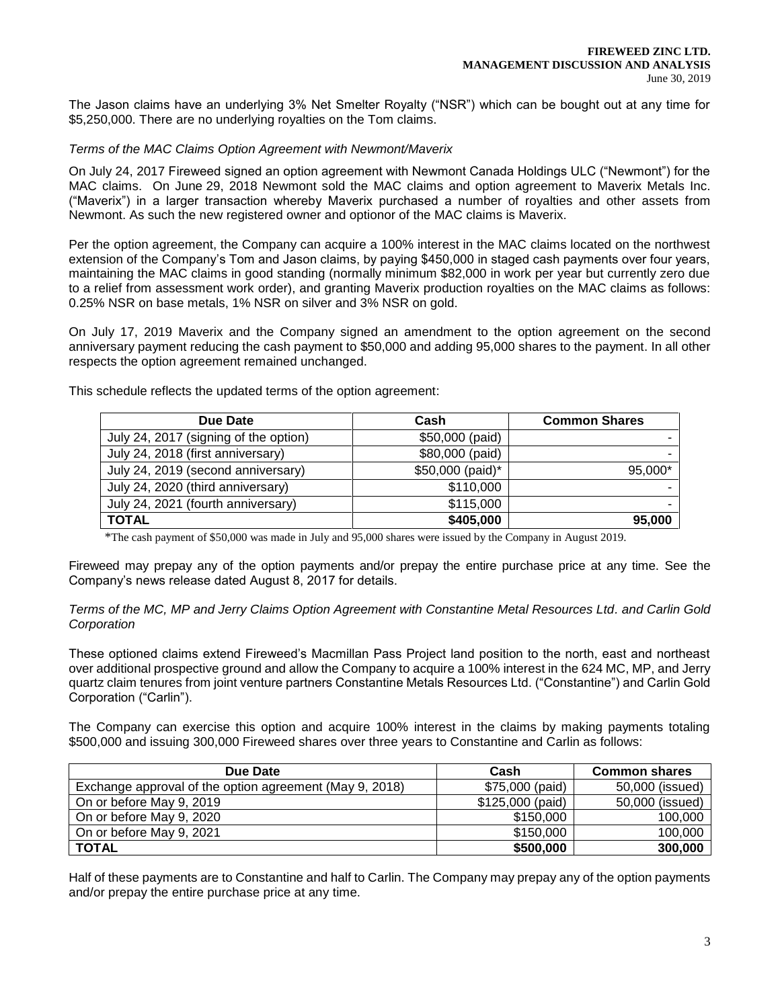The Jason claims have an underlying 3% Net Smelter Royalty ("NSR") which can be bought out at any time for \$5,250,000. There are no underlying royalties on the Tom claims.

#### *Terms of the MAC Claims Option Agreement with Newmont/Maverix*

On July 24, 2017 Fireweed signed an option agreement with Newmont Canada Holdings ULC ("Newmont") for the MAC claims. On June 29, 2018 Newmont sold the MAC claims and option agreement to Maverix Metals Inc. ("Maverix") in a larger transaction whereby Maverix purchased a number of royalties and other assets from Newmont. As such the new registered owner and optionor of the MAC claims is Maverix.

Per the option agreement, the Company can acquire a 100% interest in the MAC claims located on the northwest extension of the Company's Tom and Jason claims, by paying \$450,000 in staged cash payments over four years, maintaining the MAC claims in good standing (normally minimum \$82,000 in work per year but currently zero due to a relief from assessment work order), and granting Maverix production royalties on the MAC claims as follows: 0.25% NSR on base metals, 1% NSR on silver and 3% NSR on gold.

On July 17, 2019 Maverix and the Company signed an amendment to the option agreement on the second anniversary payment reducing the cash payment to \$50,000 and adding 95,000 shares to the payment. In all other respects the option agreement remained unchanged.

This schedule reflects the updated terms of the option agreement:

| Due Date                              | Cash             | <b>Common Shares</b> |
|---------------------------------------|------------------|----------------------|
| July 24, 2017 (signing of the option) | \$50,000 (paid)  |                      |
| July 24, 2018 (first anniversary)     | \$80,000 (paid)  |                      |
| July 24, 2019 (second anniversary)    | \$50,000 (paid)* | 95,000*              |
| July 24, 2020 (third anniversary)     | \$110,000        |                      |
| July 24, 2021 (fourth anniversary)    | \$115,000        |                      |
| <b>TOTAL</b>                          | \$405,000        | 95,000               |

\*The cash payment of \$50,000 was made in July and 95,000 shares were issued by the Company in August 2019.

Fireweed may prepay any of the option payments and/or prepay the entire purchase price at any time. See the Company's news release dated August 8, 2017 for details.

#### *Terms of the MC, MP and Jerry Claims Option Agreement with Constantine Metal Resources Ltd. and Carlin Gold Corporation*

These optioned claims extend Fireweed's Macmillan Pass Project land position to the north, east and northeast over additional prospective ground and allow the Company to acquire a 100% interest in the 624 MC, MP, and Jerry quartz claim tenures from joint venture partners Constantine Metals Resources Ltd. ("Constantine") and Carlin Gold Corporation ("Carlin").

The Company can exercise this option and acquire 100% interest in the claims by making payments totaling \$500,000 and issuing 300,000 Fireweed shares over three years to Constantine and Carlin as follows:

| Due Date                                                | Cash              | <b>Common shares</b> |
|---------------------------------------------------------|-------------------|----------------------|
| Exchange approval of the option agreement (May 9, 2018) | \$75,000 (paid)   | 50,000 (issued)      |
| On or before May 9, 2019                                | $$125,000$ (paid) | 50,000 (issued)      |
| On or before May 9, 2020                                | \$150,000         | 100,000              |
| On or before May 9, 2021                                | \$150,000         | 100,000              |
| <b>TOTAL</b>                                            | \$500,000         | 300,000              |

Half of these payments are to Constantine and half to Carlin. The Company may prepay any of the option payments and/or prepay the entire purchase price at any time.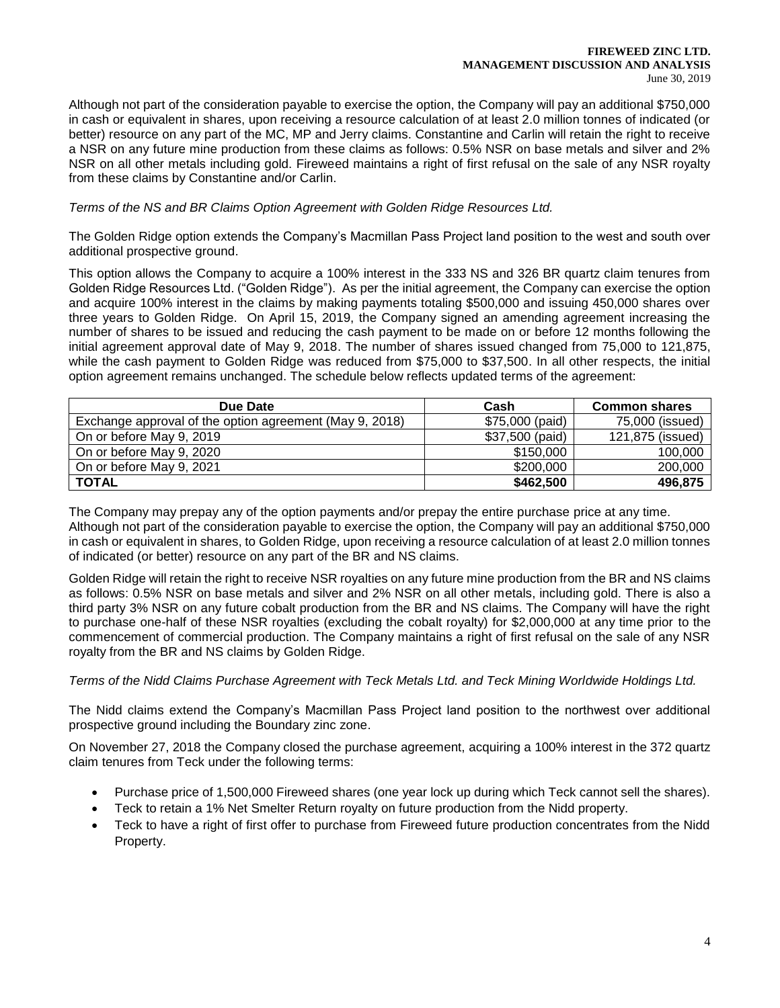#### **FIREWEED ZINC LTD. MANAGEMENT DISCUSSION AND ANALYSIS** June 30, 2019

Although not part of the consideration payable to exercise the option, the Company will pay an additional \$750,000 in cash or equivalent in shares, upon receiving a resource calculation of at least 2.0 million tonnes of indicated (or better) resource on any part of the MC, MP and Jerry claims. Constantine and Carlin will retain the right to receive a NSR on any future mine production from these claims as follows: 0.5% NSR on base metals and silver and 2% NSR on all other metals including gold. Fireweed maintains a right of first refusal on the sale of any NSR royalty from these claims by Constantine and/or Carlin.

## *Terms of the NS and BR Claims Option Agreement with Golden Ridge Resources Ltd.*

The Golden Ridge option extends the Company's Macmillan Pass Project land position to the west and south over additional prospective ground.

This option allows the Company to acquire a 100% interest in the 333 NS and 326 BR quartz claim tenures from Golden Ridge Resources Ltd. ("Golden Ridge"). As per the initial agreement, the Company can exercise the option and acquire 100% interest in the claims by making payments totaling \$500,000 and issuing 450,000 shares over three years to Golden Ridge. On April 15, 2019, the Company signed an amending agreement increasing the number of shares to be issued and reducing the cash payment to be made on or before 12 months following the initial agreement approval date of May 9, 2018. The number of shares issued changed from 75,000 to 121,875, while the cash payment to Golden Ridge was reduced from \$75,000 to \$37,500. In all other respects, the initial option agreement remains unchanged. The schedule below reflects updated terms of the agreement:

| Due Date                                                | Cash            | <b>Common shares</b> |
|---------------------------------------------------------|-----------------|----------------------|
| Exchange approval of the option agreement (May 9, 2018) | \$75,000 (paid) | 75,000 (issued)      |
| On or before May 9, 2019                                | \$37,500 (paid) | 121,875 (issued)     |
| On or before May 9, 2020                                | \$150,000       | 100,000              |
| On or before May 9, 2021                                | \$200,000       | 200,000              |
| <b>TOTAL</b>                                            | \$462,500       | 496,875              |

The Company may prepay any of the option payments and/or prepay the entire purchase price at any time. Although not part of the consideration payable to exercise the option, the Company will pay an additional \$750,000 in cash or equivalent in shares, to Golden Ridge, upon receiving a resource calculation of at least 2.0 million tonnes of indicated (or better) resource on any part of the BR and NS claims.

Golden Ridge will retain the right to receive NSR royalties on any future mine production from the BR and NS claims as follows: 0.5% NSR on base metals and silver and 2% NSR on all other metals, including gold. There is also a third party 3% NSR on any future cobalt production from the BR and NS claims. The Company will have the right to purchase one-half of these NSR royalties (excluding the cobalt royalty) for \$2,000,000 at any time prior to the commencement of commercial production. The Company maintains a right of first refusal on the sale of any NSR royalty from the BR and NS claims by Golden Ridge.

### *Terms of the Nidd Claims Purchase Agreement with Teck Metals Ltd. and Teck Mining Worldwide Holdings Ltd.*

The Nidd claims extend the Company's Macmillan Pass Project land position to the northwest over additional prospective ground including the Boundary zinc zone.

On November 27, 2018 the Company closed the purchase agreement, acquiring a 100% interest in the 372 quartz claim tenures from Teck under the following terms:

- Purchase price of 1,500,000 Fireweed shares (one year lock up during which Teck cannot sell the shares).
- Teck to retain a 1% Net Smelter Return royalty on future production from the Nidd property.
- Teck to have a right of first offer to purchase from Fireweed future production concentrates from the Nidd Property.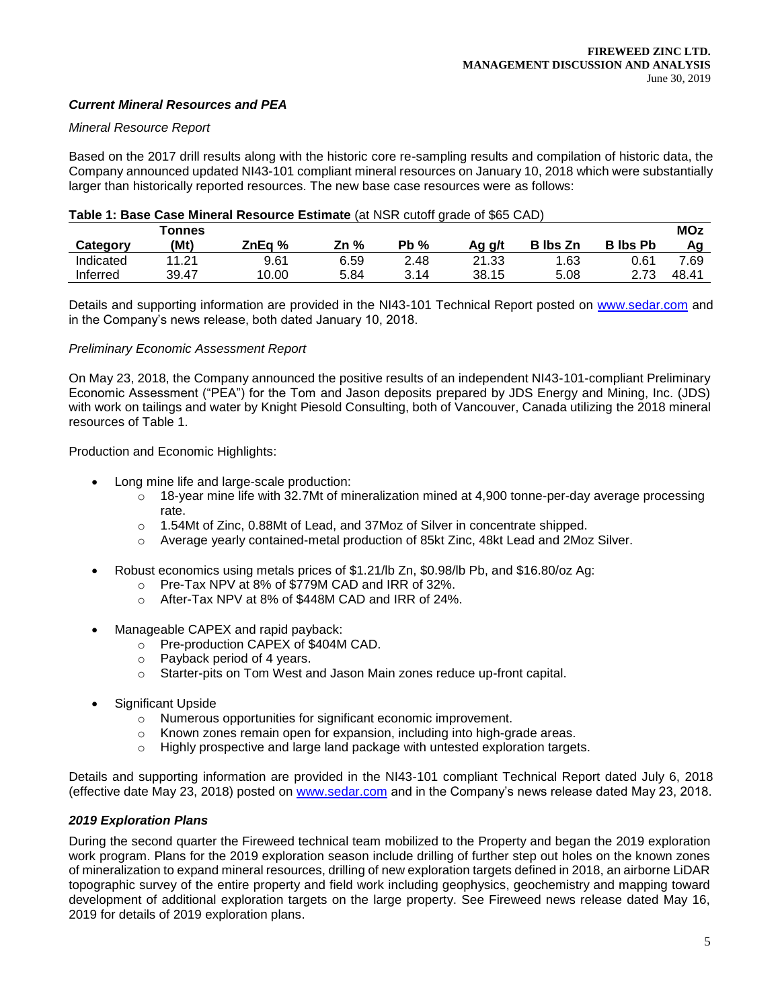## *Current Mineral Resources and PEA*

#### *Mineral Resource Report*

Based on the 2017 drill results along with the historic core re-sampling results and compilation of historic data, the Company announced updated NI43-101 compliant mineral resources on January 10, 2018 which were substantially larger than historically reported resources. The new base case resources were as follows:

#### **Table 1: Base Case Mineral Resource Estimate** (at NSR cutoff grade of \$65 CAD)

|           | <b>Tonnes</b> |        |      |        |        |                 |                 | <b>MOz</b> |
|-----------|---------------|--------|------|--------|--------|-----------------|-----------------|------------|
| Category  | (Mt)          | ZnEa % | Zn % | $Pb\%$ | Ag g/t | <b>B</b> lbs Zn | <b>B</b> lbs Pb | Αa         |
| Indicated | 11.21         | 9.61   | 6.59 | 2.48   | 21.33  | 1.63            | 0.61            | 7.69       |
| Inferred  | 39.47         | 10.00  | 5.84 | 3.14   | 38.15  | 5.08            | 2 72            | 48.41      |

Details and supporting information are provided in the NI43-101 Technical Report posted on [www.sedar.com](http://www.sedar.com/) and in the Company's news release, both dated January 10, 2018.

#### *Preliminary Economic Assessment Report*

On May 23, 2018, the Company announced the positive results of an independent NI43-101-compliant Preliminary Economic Assessment ("PEA") for the Tom and Jason deposits prepared by JDS Energy and Mining, Inc. (JDS) with work on tailings and water by Knight Piesold Consulting, both of Vancouver, Canada utilizing the 2018 mineral resources of Table 1.

Production and Economic Highlights:

- Long mine life and large-scale production:
	- $\circ$  18-year mine life with 32.7Mt of mineralization mined at 4,900 tonne-per-day average processing rate.
	- o 1.54Mt of Zinc, 0.88Mt of Lead, and 37Moz of Silver in concentrate shipped.
	- o Average yearly contained-metal production of 85kt Zinc, 48kt Lead and 2Moz Silver.
- Robust economics using metals prices of \$1.21/lb Zn, \$0.98/lb Pb, and \$16.80/oz Ag:
	- o Pre-Tax NPV at 8% of \$779M CAD and IRR of 32%.
	- o After-Tax NPV at 8% of \$448M CAD and IRR of 24%.
	- Manageable CAPEX and rapid payback:
		- o Pre-production CAPEX of \$404M CAD.
		- o Payback period of 4 years.
		- o Starter-pits on Tom West and Jason Main zones reduce up-front capital.
- Significant Upside
	- o Numerous opportunities for significant economic improvement.
	- $\circ$  Known zones remain open for expansion, including into high-grade areas.
	- $\circ$  Highly prospective and large land package with untested exploration targets.

Details and supporting information are provided in the NI43-101 compliant Technical Report dated July 6, 2018 (effective date May 23, 2018) posted on [www.sedar.com](http://www.sedar.com/) and in the Company's news release dated May 23, 2018.

### *2019 Exploration Plans*

During the second quarter the Fireweed technical team mobilized to the Property and began the 2019 exploration work program. Plans for the 2019 exploration season include drilling of further step out holes on the known zones of mineralization to expand mineral resources, drilling of new exploration targets defined in 2018, an airborne LiDAR topographic survey of the entire property and field work including geophysics, geochemistry and mapping toward development of additional exploration targets on the large property. See Fireweed news release dated May 16, 2019 for details of 2019 exploration plans.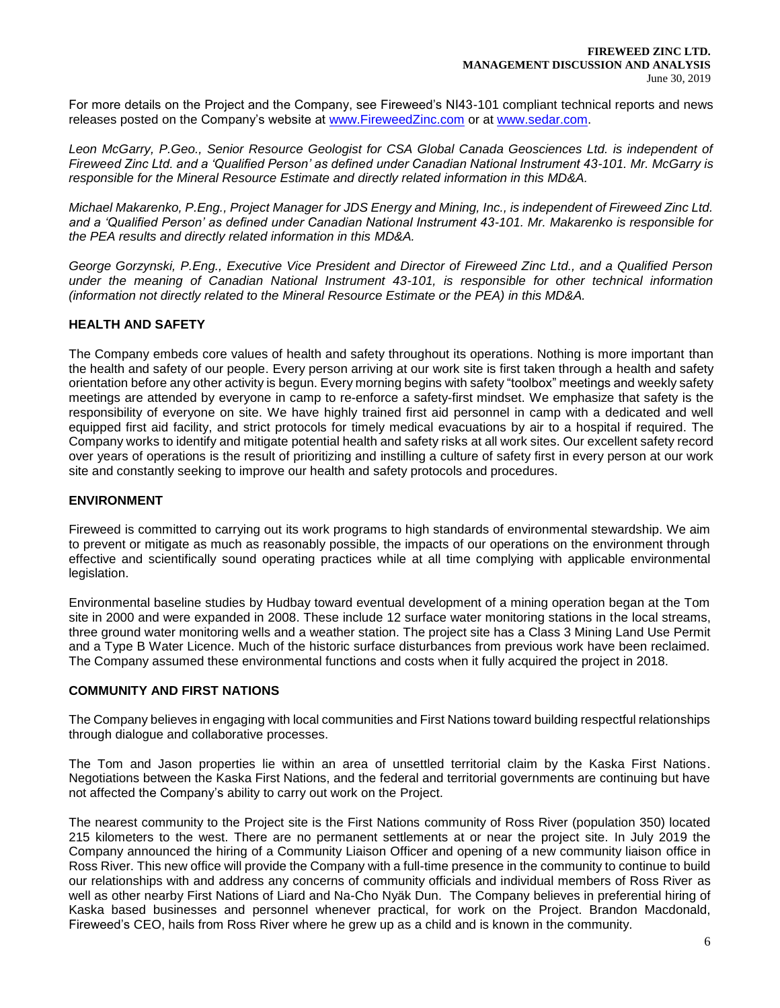For more details on the Project and the Company, see Fireweed's NI43-101 compliant technical reports and news releases posted on the Company's website at [www.FireweedZinc.com](http://www.fireweedzinc.com/) or at [www.sedar.com.](http://www.sedar.com/)

*Leon McGarry, P.Geo., Senior Resource Geologist for CSA Global Canada Geosciences Ltd. is independent of Fireweed Zinc Ltd. and a 'Qualified Person' as defined under Canadian National Instrument 43-101. Mr. McGarry is responsible for the Mineral Resource Estimate and directly related information in this MD&A.* 

*Michael Makarenko, P.Eng., Project Manager for JDS Energy and Mining, Inc., is independent of Fireweed Zinc Ltd. and a 'Qualified Person' as defined under Canadian National Instrument 43-101. Mr. Makarenko is responsible for the PEA results and directly related information in this MD&A.*

*George Gorzynski, P.Eng., Executive Vice President and Director of Fireweed Zinc Ltd., and a Qualified Person under the meaning of Canadian National Instrument 43-101, is responsible for other technical information (information not directly related to the Mineral Resource Estimate or the PEA) in this MD&A.*

## **HEALTH AND SAFETY**

The Company embeds core values of health and safety throughout its operations. Nothing is more important than the health and safety of our people. Every person arriving at our work site is first taken through a health and safety orientation before any other activity is begun. Every morning begins with safety "toolbox" meetings and weekly safety meetings are attended by everyone in camp to re-enforce a safety-first mindset. We emphasize that safety is the responsibility of everyone on site. We have highly trained first aid personnel in camp with a dedicated and well equipped first aid facility, and strict protocols for timely medical evacuations by air to a hospital if required. The Company works to identify and mitigate potential health and safety risks at all work sites. Our excellent safety record over years of operations is the result of prioritizing and instilling a culture of safety first in every person at our work site and constantly seeking to improve our health and safety protocols and procedures.

#### **ENVIRONMENT**

Fireweed is committed to carrying out its work programs to high standards of environmental stewardship. We aim to prevent or mitigate as much as reasonably possible, the impacts of our operations on the environment through effective and scientifically sound operating practices while at all time complying with applicable environmental legislation.

Environmental baseline studies by Hudbay toward eventual development of a mining operation began at the Tom site in 2000 and were expanded in 2008. These include 12 surface water monitoring stations in the local streams, three ground water monitoring wells and a weather station. The project site has a Class 3 Mining Land Use Permit and a Type B Water Licence. Much of the historic surface disturbances from previous work have been reclaimed. The Company assumed these environmental functions and costs when it fully acquired the project in 2018.

### **COMMUNITY AND FIRST NATIONS**

The Company believes in engaging with local communities and First Nations toward building respectful relationships through dialogue and collaborative processes.

The Tom and Jason properties lie within an area of unsettled territorial claim by the Kaska First Nations. Negotiations between the Kaska First Nations, and the federal and territorial governments are continuing but have not affected the Company's ability to carry out work on the Project.

The nearest community to the Project site is the First Nations community of Ross River (population 350) located 215 kilometers to the west. There are no permanent settlements at or near the project site. In July 2019 the Company announced the hiring of a Community Liaison Officer and opening of a new community liaison office in Ross River. This new office will provide the Company with a full-time presence in the community to continue to build our relationships with and address any concerns of community officials and individual members of Ross River as well as other nearby First Nations of Liard and Na-Cho Nyäk Dun. The Company believes in preferential hiring of Kaska based businesses and personnel whenever practical, for work on the Project. Brandon Macdonald, Fireweed's CEO, hails from Ross River where he grew up as a child and is known in the community.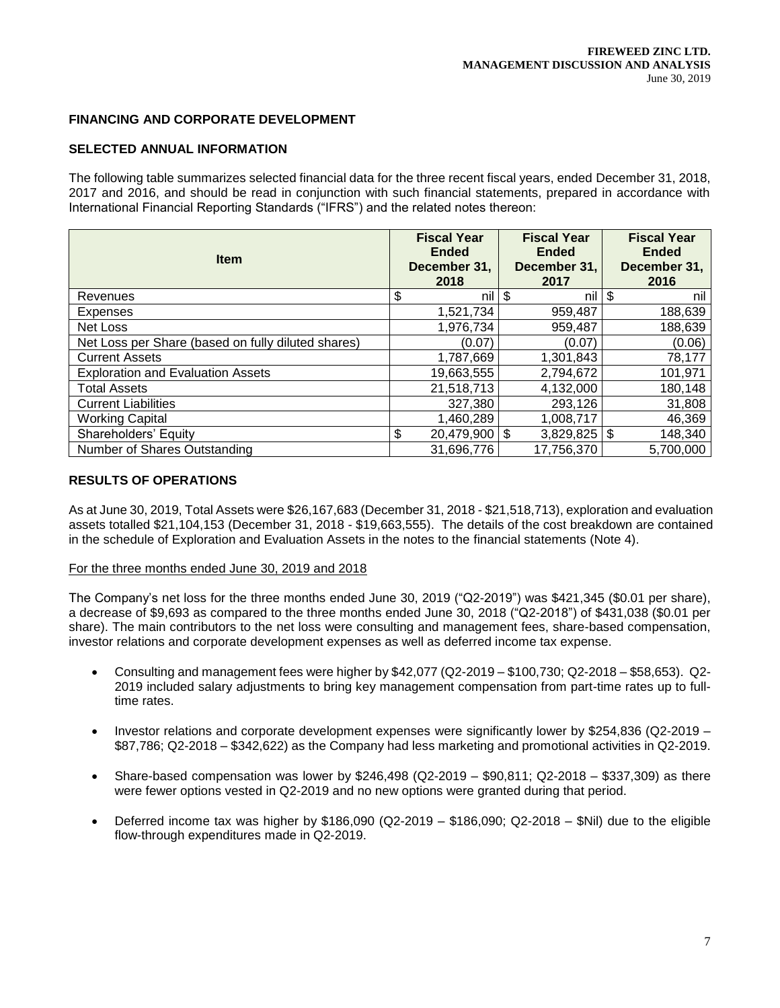## **FINANCING AND CORPORATE DEVELOPMENT**

## **SELECTED ANNUAL INFORMATION**

The following table summarizes selected financial data for the three recent fiscal years, ended December 31, 2018, 2017 and 2016, and should be read in conjunction with such financial statements, prepared in accordance with International Financial Reporting Standards ("IFRS") and the related notes thereon:

| <b>Item</b>                                        |    | <b>Fiscal Year</b><br><b>Ended</b><br>December 31,<br>2018 | <b>Fiscal Year</b><br><b>Ended</b><br>December 31,<br>2017 | <b>Fiscal Year</b><br><b>Ended</b><br>December 31,<br>2016 |
|----------------------------------------------------|----|------------------------------------------------------------|------------------------------------------------------------|------------------------------------------------------------|
| Revenues                                           | \$ | nil l                                                      | \$<br>nil                                                  | \$<br>nil                                                  |
| <b>Expenses</b>                                    |    | 1,521,734                                                  | 959,487                                                    | 188,639                                                    |
| Net Loss                                           |    | 1,976,734                                                  | 959,487                                                    | 188,639                                                    |
| Net Loss per Share (based on fully diluted shares) |    | (0.07)                                                     | (0.07)                                                     | (0.06)                                                     |
| <b>Current Assets</b>                              |    | 1,787,669                                                  | 1,301,843                                                  | 78,177                                                     |
| <b>Exploration and Evaluation Assets</b>           |    | 19,663,555                                                 | 2,794,672                                                  | 101,971                                                    |
| <b>Total Assets</b>                                |    | 21,518,713                                                 | 4,132,000                                                  | 180,148                                                    |
| <b>Current Liabilities</b>                         |    | 327,380                                                    | 293,126                                                    | 31,808                                                     |
| <b>Working Capital</b>                             |    | 1,460,289                                                  | 1,008,717                                                  | 46,369                                                     |
| Shareholders' Equity                               | \$ | $20,479,900$ \$                                            | $3,829,825$ \\$                                            | 148,340                                                    |
| Number of Shares Outstanding                       |    | 31,696,776                                                 | 17,756,370                                                 | 5,700,000                                                  |

### **RESULTS OF OPERATIONS**

As at June 30, 2019, Total Assets were \$26,167,683 (December 31, 2018 - \$21,518,713), exploration and evaluation assets totalled \$21,104,153 (December 31, 2018 - \$19,663,555). The details of the cost breakdown are contained in the schedule of Exploration and Evaluation Assets in the notes to the financial statements (Note 4).

#### For the three months ended June 30, 2019 and 2018

The Company's net loss for the three months ended June 30, 2019 ("Q2-2019") was \$421,345 (\$0.01 per share), a decrease of \$9,693 as compared to the three months ended June 30, 2018 ("Q2-2018") of \$431,038 (\$0.01 per share). The main contributors to the net loss were consulting and management fees, share-based compensation, investor relations and corporate development expenses as well as deferred income tax expense.

- Consulting and management fees were higher by \$42,077 (Q2-2019 \$100,730; Q2-2018 \$58,653). Q2- 2019 included salary adjustments to bring key management compensation from part-time rates up to fulltime rates.
- Investor relations and corporate development expenses were significantly lower by \$254,836 (Q2-2019 \$87,786; Q2-2018 – \$342,622) as the Company had less marketing and promotional activities in Q2-2019.
- Share-based compensation was lower by \$246,498 (Q2-2019 \$90,811; Q2-2018 \$337,309) as there were fewer options vested in Q2-2019 and no new options were granted during that period.
- Deferred income tax was higher by  $$186,090$  (Q2-2019  $$186,090$ ; Q2-2018  $$Nil$ ) due to the eligible flow-through expenditures made in Q2-2019.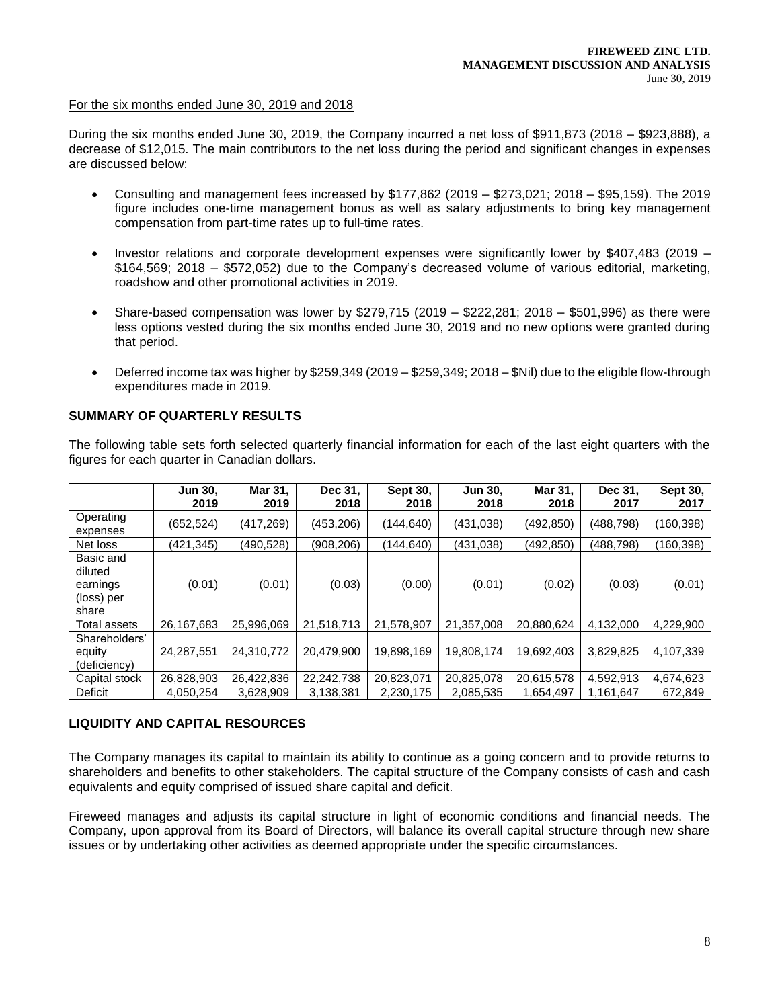#### For the six months ended June 30, 2019 and 2018

During the six months ended June 30, 2019, the Company incurred a net loss of \$911,873 (2018 – \$923,888), a decrease of \$12,015. The main contributors to the net loss during the period and significant changes in expenses are discussed below:

- Consulting and management fees increased by \$177,862 (2019 \$273,021; 2018 \$95,159). The 2019 figure includes one-time management bonus as well as salary adjustments to bring key management compensation from part-time rates up to full-time rates.
- Investor relations and corporate development expenses were significantly lower by \$407,483 (2019 \$164,569; 2018 – \$572,052) due to the Company's decreased volume of various editorial, marketing, roadshow and other promotional activities in 2019.
- Share-based compensation was lower by \$279,715 (2019 \$222,281; 2018 \$501,996) as there were less options vested during the six months ended June 30, 2019 and no new options were granted during that period.
- Deferred income tax was higher by \$259,349 (2019 \$259,349; 2018 \$Nil) due to the eligible flow-through expenditures made in 2019.

# **SUMMARY OF QUARTERLY RESULTS**

The following table sets forth selected quarterly financial information for each of the last eight quarters with the figures for each quarter in Canadian dollars.

|                                                         | <b>Jun 30,</b><br>2019 | Mar 31,<br>2019 | Dec 31,<br>2018 | Sept 30,<br>2018 | <b>Jun 30.</b><br>2018 | Mar 31,<br>2018 | Dec 31,<br>2017 | Sept 30,<br>2017 |
|---------------------------------------------------------|------------------------|-----------------|-----------------|------------------|------------------------|-----------------|-----------------|------------------|
| Operating<br>expenses                                   | (652,524)              | (417, 269)      | (453, 206)      | (144, 640)       | (431,038)              | (492, 850)      | (488,798)       | (160, 398)       |
| Net loss                                                | (421,345)              | (490,528)       | (908, 206)      | (144,640)        | (431, 038)             | (492, 850)      | (488,798)       | (160, 398)       |
| Basic and<br>diluted<br>earnings<br>(loss) per<br>share | (0.01)                 | (0.01)          | (0.03)          | (0.00)           | (0.01)                 | (0.02)          | (0.03)          | (0.01)           |
| Total assets                                            | 26,167,683             | 25,996,069      | 21,518,713      | 21,578,907       | 21,357,008             | 20,880,624      | 4,132,000       | 4,229,900        |
| Shareholders'<br>equity<br>(deficiency)                 | 24,287,551             | 24,310,772      | 20,479,900      | 19,898,169       | 19,808,174             | 19,692,403      | 3,829,825       | 4,107,339        |
| Capital stock                                           | 26,828,903             | 26,422,836      | 22,242,738      | 20,823,071       | 20,825,078             | 20,615,578      | 4,592,913       | 4,674,623        |
| Deficit                                                 | 4,050,254              | 3,628,909       | 3,138,381       | 2,230,175        | 2,085,535              | 1,654,497       | 1,161,647       | 672,849          |

### **LIQUIDITY AND CAPITAL RESOURCES**

The Company manages its capital to maintain its ability to continue as a going concern and to provide returns to shareholders and benefits to other stakeholders. The capital structure of the Company consists of cash and cash equivalents and equity comprised of issued share capital and deficit.

Fireweed manages and adjusts its capital structure in light of economic conditions and financial needs. The Company, upon approval from its Board of Directors, will balance its overall capital structure through new share issues or by undertaking other activities as deemed appropriate under the specific circumstances.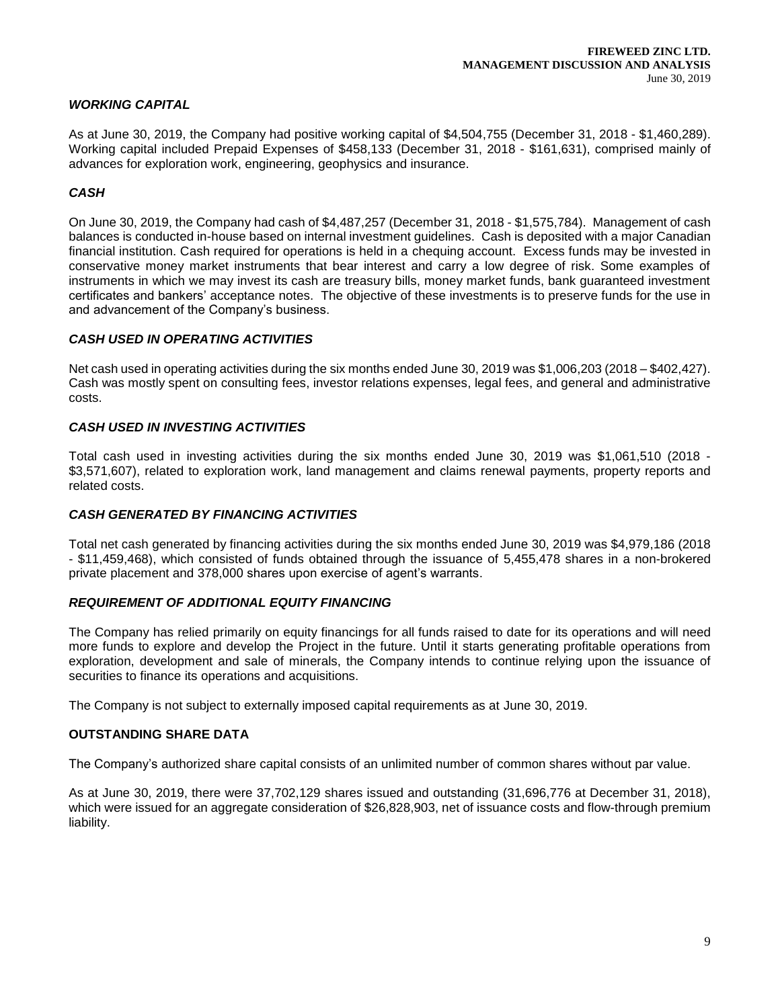## *WORKING CAPITAL*

As at June 30, 2019, the Company had positive working capital of \$4,504,755 (December 31, 2018 - \$1,460,289). Working capital included Prepaid Expenses of \$458,133 (December 31, 2018 - \$161,631), comprised mainly of advances for exploration work, engineering, geophysics and insurance.

## *CASH*

On June 30, 2019, the Company had cash of \$4,487,257 (December 31, 2018 - \$1,575,784). Management of cash balances is conducted in-house based on internal investment guidelines. Cash is deposited with a major Canadian financial institution. Cash required for operations is held in a chequing account. Excess funds may be invested in conservative money market instruments that bear interest and carry a low degree of risk. Some examples of instruments in which we may invest its cash are treasury bills, money market funds, bank guaranteed investment certificates and bankers' acceptance notes. The objective of these investments is to preserve funds for the use in and advancement of the Company's business.

### *CASH USED IN OPERATING ACTIVITIES*

Net cash used in operating activities during the six months ended June 30, 2019 was \$1,006,203 (2018 – \$402,427). Cash was mostly spent on consulting fees, investor relations expenses, legal fees, and general and administrative costs.

### *CASH USED IN INVESTING ACTIVITIES*

Total cash used in investing activities during the six months ended June 30, 2019 was \$1,061,510 (2018 - \$3,571,607), related to exploration work, land management and claims renewal payments, property reports and related costs.

### *CASH GENERATED BY FINANCING ACTIVITIES*

Total net cash generated by financing activities during the six months ended June 30, 2019 was \$4,979,186 (2018 - \$11,459,468), which consisted of funds obtained through the issuance of 5,455,478 shares in a non-brokered private placement and 378,000 shares upon exercise of agent's warrants.

### *REQUIREMENT OF ADDITIONAL EQUITY FINANCING*

The Company has relied primarily on equity financings for all funds raised to date for its operations and will need more funds to explore and develop the Project in the future. Until it starts generating profitable operations from exploration, development and sale of minerals, the Company intends to continue relying upon the issuance of securities to finance its operations and acquisitions.

The Company is not subject to externally imposed capital requirements as at June 30, 2019.

### **OUTSTANDING SHARE DATA**

The Company's authorized share capital consists of an unlimited number of common shares without par value.

As at June 30, 2019, there were 37,702,129 shares issued and outstanding (31,696,776 at December 31, 2018), which were issued for an aggregate consideration of \$26,828,903, net of issuance costs and flow-through premium liability.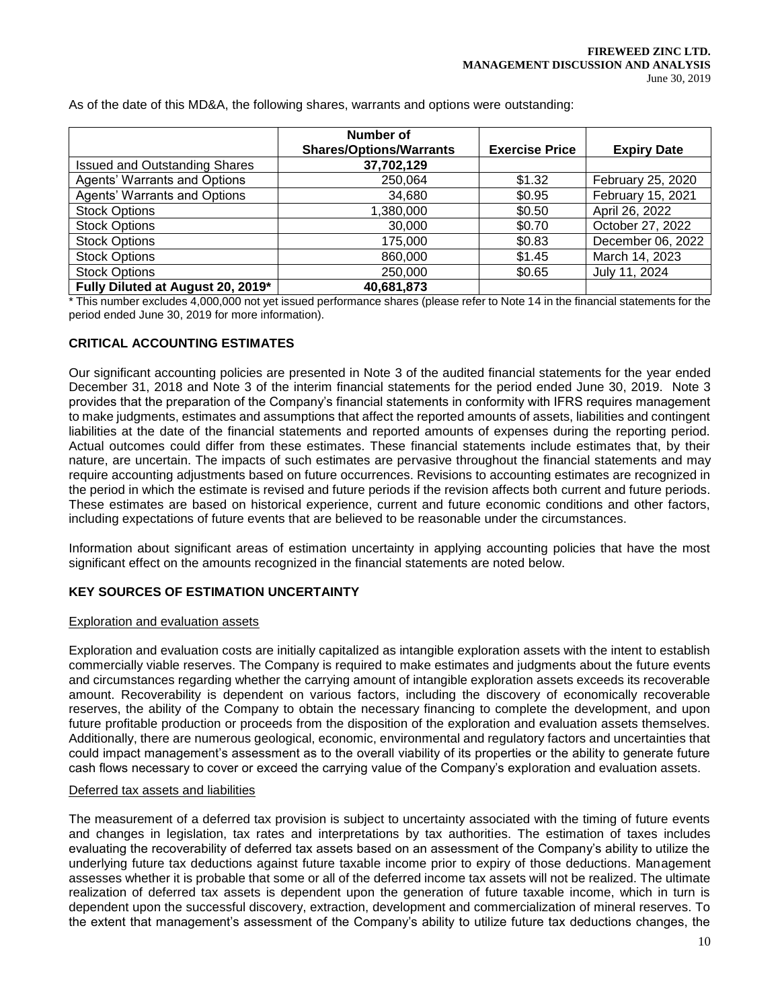|                                      | Number of                      |                       |                    |
|--------------------------------------|--------------------------------|-----------------------|--------------------|
|                                      | <b>Shares/Options/Warrants</b> | <b>Exercise Price</b> | <b>Expiry Date</b> |
| <b>Issued and Outstanding Shares</b> | 37,702,129                     |                       |                    |
| <b>Agents' Warrants and Options</b>  | 250.064                        | \$1.32                | February 25, 2020  |
| <b>Agents' Warrants and Options</b>  | 34,680                         | \$0.95                | February 15, 2021  |
| <b>Stock Options</b>                 | 1,380,000                      | \$0.50                | April 26, 2022     |
| <b>Stock Options</b>                 | 30,000                         | \$0.70                | October 27, 2022   |
| <b>Stock Options</b>                 | 175,000                        | \$0.83                | December 06, 2022  |
| <b>Stock Options</b>                 | 860,000                        | \$1.45                | March 14, 2023     |
| <b>Stock Options</b>                 | 250,000                        | \$0.65                | July 11, 2024      |
| Fully Diluted at August 20, 2019*    | 40.681.873                     |                       |                    |

As of the date of this MD&A, the following shares, warrants and options were outstanding:

\* This number excludes 4,000,000 not yet issued performance shares (please refer to Note 14 in the financial statements for the period ended June 30, 2019 for more information).

## **CRITICAL ACCOUNTING ESTIMATES**

Our significant accounting policies are presented in Note 3 of the audited financial statements for the year ended December 31, 2018 and Note 3 of the interim financial statements for the period ended June 30, 2019. Note 3 provides that the preparation of the Company's financial statements in conformity with IFRS requires management to make judgments, estimates and assumptions that affect the reported amounts of assets, liabilities and contingent liabilities at the date of the financial statements and reported amounts of expenses during the reporting period. Actual outcomes could differ from these estimates. These financial statements include estimates that, by their nature, are uncertain. The impacts of such estimates are pervasive throughout the financial statements and may require accounting adjustments based on future occurrences. Revisions to accounting estimates are recognized in the period in which the estimate is revised and future periods if the revision affects both current and future periods. These estimates are based on historical experience, current and future economic conditions and other factors, including expectations of future events that are believed to be reasonable under the circumstances.

Information about significant areas of estimation uncertainty in applying accounting policies that have the most significant effect on the amounts recognized in the financial statements are noted below.

### **KEY SOURCES OF ESTIMATION UNCERTAINTY**

### Exploration and evaluation assets

Exploration and evaluation costs are initially capitalized as intangible exploration assets with the intent to establish commercially viable reserves. The Company is required to make estimates and judgments about the future events and circumstances regarding whether the carrying amount of intangible exploration assets exceeds its recoverable amount. Recoverability is dependent on various factors, including the discovery of economically recoverable reserves, the ability of the Company to obtain the necessary financing to complete the development, and upon future profitable production or proceeds from the disposition of the exploration and evaluation assets themselves. Additionally, there are numerous geological, economic, environmental and regulatory factors and uncertainties that could impact management's assessment as to the overall viability of its properties or the ability to generate future cash flows necessary to cover or exceed the carrying value of the Company's exploration and evaluation assets.

### Deferred tax assets and liabilities

The measurement of a deferred tax provision is subject to uncertainty associated with the timing of future events and changes in legislation, tax rates and interpretations by tax authorities. The estimation of taxes includes evaluating the recoverability of deferred tax assets based on an assessment of the Company's ability to utilize the underlying future tax deductions against future taxable income prior to expiry of those deductions. Management assesses whether it is probable that some or all of the deferred income tax assets will not be realized. The ultimate realization of deferred tax assets is dependent upon the generation of future taxable income, which in turn is dependent upon the successful discovery, extraction, development and commercialization of mineral reserves. To the extent that management's assessment of the Company's ability to utilize future tax deductions changes, the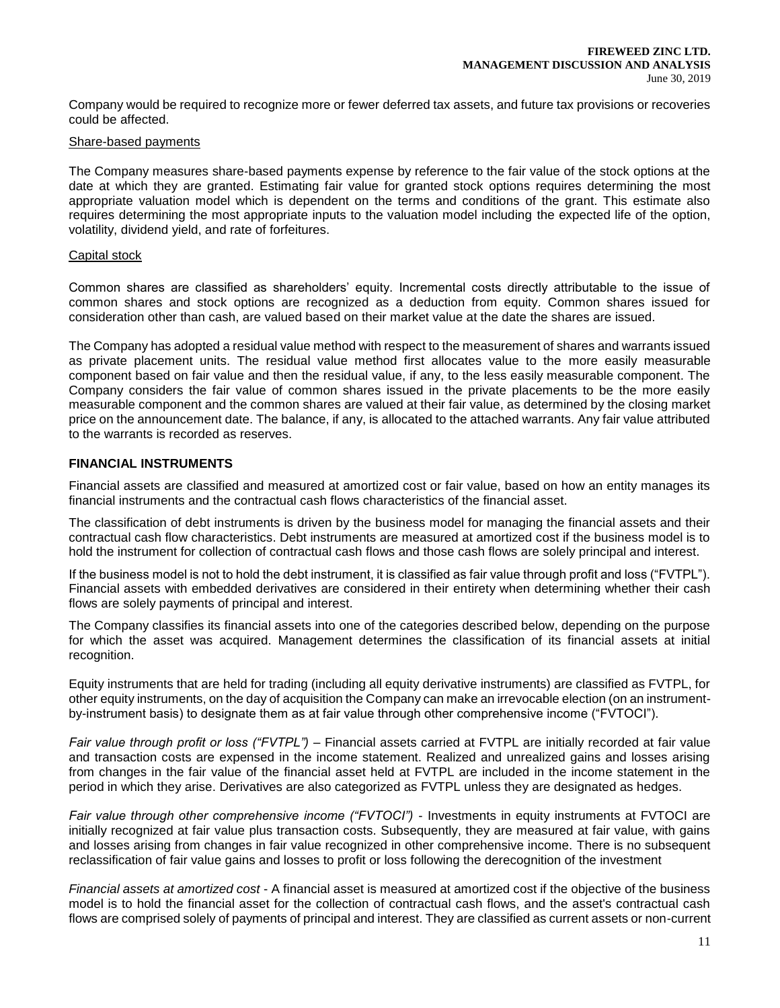Company would be required to recognize more or fewer deferred tax assets, and future tax provisions or recoveries could be affected.

#### Share-based payments

The Company measures share-based payments expense by reference to the fair value of the stock options at the date at which they are granted. Estimating fair value for granted stock options requires determining the most appropriate valuation model which is dependent on the terms and conditions of the grant. This estimate also requires determining the most appropriate inputs to the valuation model including the expected life of the option, volatility, dividend yield, and rate of forfeitures.

#### Capital stock

Common shares are classified as shareholders' equity. Incremental costs directly attributable to the issue of common shares and stock options are recognized as a deduction from equity. Common shares issued for consideration other than cash, are valued based on their market value at the date the shares are issued.

The Company has adopted a residual value method with respect to the measurement of shares and warrants issued as private placement units. The residual value method first allocates value to the more easily measurable component based on fair value and then the residual value, if any, to the less easily measurable component. The Company considers the fair value of common shares issued in the private placements to be the more easily measurable component and the common shares are valued at their fair value, as determined by the closing market price on the announcement date. The balance, if any, is allocated to the attached warrants. Any fair value attributed to the warrants is recorded as reserves.

### **FINANCIAL INSTRUMENTS**

Financial assets are classified and measured at amortized cost or fair value, based on how an entity manages its financial instruments and the contractual cash flows characteristics of the financial asset.

The classification of debt instruments is driven by the business model for managing the financial assets and their contractual cash flow characteristics. Debt instruments are measured at amortized cost if the business model is to hold the instrument for collection of contractual cash flows and those cash flows are solely principal and interest.

If the business model is not to hold the debt instrument, it is classified as fair value through profit and loss ("FVTPL"). Financial assets with embedded derivatives are considered in their entirety when determining whether their cash flows are solely payments of principal and interest.

The Company classifies its financial assets into one of the categories described below, depending on the purpose for which the asset was acquired. Management determines the classification of its financial assets at initial recognition.

Equity instruments that are held for trading (including all equity derivative instruments) are classified as FVTPL, for other equity instruments, on the day of acquisition the Company can make an irrevocable election (on an instrumentby-instrument basis) to designate them as at fair value through other comprehensive income ("FVTOCI").

*Fair value through profit or loss ("FVTPL")* – Financial assets carried at FVTPL are initially recorded at fair value and transaction costs are expensed in the income statement. Realized and unrealized gains and losses arising from changes in the fair value of the financial asset held at FVTPL are included in the income statement in the period in which they arise. Derivatives are also categorized as FVTPL unless they are designated as hedges.

*Fair value through other comprehensive income ("FVTOCI")* - Investments in equity instruments at FVTOCI are initially recognized at fair value plus transaction costs. Subsequently, they are measured at fair value, with gains and losses arising from changes in fair value recognized in other comprehensive income. There is no subsequent reclassification of fair value gains and losses to profit or loss following the derecognition of the investment

*Financial assets at amortized cost* - A financial asset is measured at amortized cost if the objective of the business model is to hold the financial asset for the collection of contractual cash flows, and the asset's contractual cash flows are comprised solely of payments of principal and interest. They are classified as current assets or non-current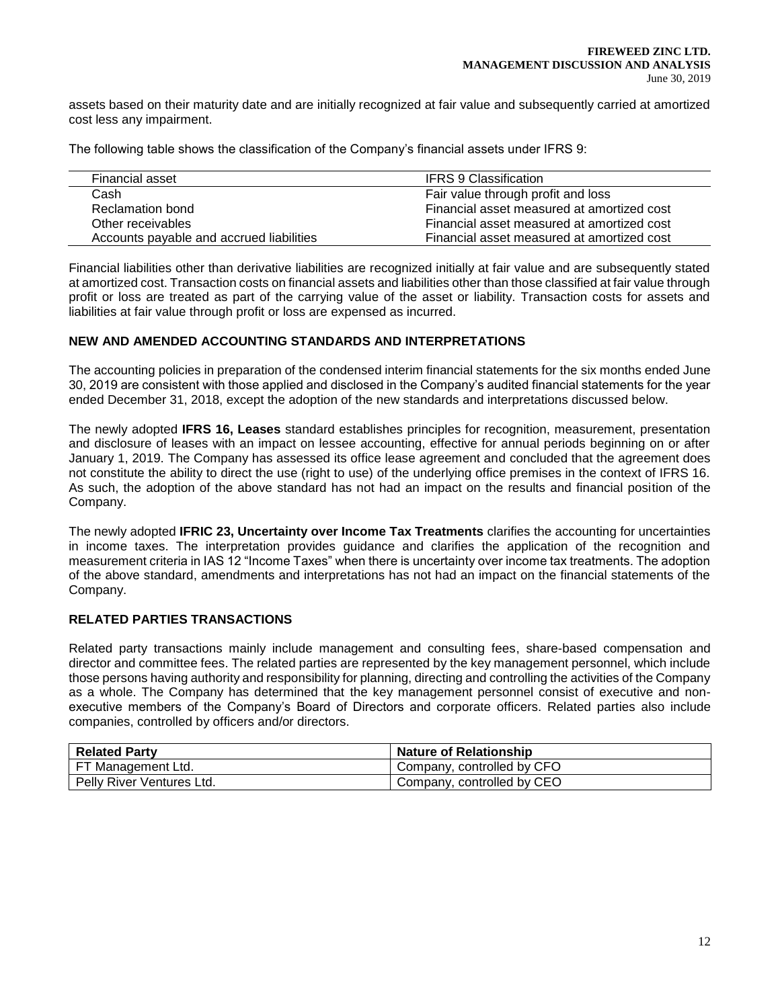assets based on their maturity date and are initially recognized at fair value and subsequently carried at amortized cost less any impairment.

The following table shows the classification of the Company's financial assets under IFRS 9:

| Financial asset                          | <b>IFRS 9 Classification</b>               |
|------------------------------------------|--------------------------------------------|
| Cash                                     | Fair value through profit and loss         |
| Reclamation bond                         | Financial asset measured at amortized cost |
| Other receivables                        | Financial asset measured at amortized cost |
| Accounts payable and accrued liabilities | Financial asset measured at amortized cost |

Financial liabilities other than derivative liabilities are recognized initially at fair value and are subsequently stated at amortized cost. Transaction costs on financial assets and liabilities other than those classified at fair value through profit or loss are treated as part of the carrying value of the asset or liability. Transaction costs for assets and liabilities at fair value through profit or loss are expensed as incurred.

#### **NEW AND AMENDED ACCOUNTING STANDARDS AND INTERPRETATIONS**

The accounting policies in preparation of the condensed interim financial statements for the six months ended June 30, 2019 are consistent with those applied and disclosed in the Company's audited financial statements for the year ended December 31, 2018, except the adoption of the new standards and interpretations discussed below.

The newly adopted **IFRS 16, Leases** standard establishes principles for recognition, measurement, presentation and disclosure of leases with an impact on lessee accounting, effective for annual periods beginning on or after January 1, 2019. The Company has assessed its office lease agreement and concluded that the agreement does not constitute the ability to direct the use (right to use) of the underlying office premises in the context of IFRS 16. As such, the adoption of the above standard has not had an impact on the results and financial position of the Company.

The newly adopted **IFRIC 23, Uncertainty over Income Tax Treatments** clarifies the accounting for uncertainties in income taxes. The interpretation provides guidance and clarifies the application of the recognition and measurement criteria in IAS 12 "Income Taxes" when there is uncertainty over income tax treatments. The adoption of the above standard, amendments and interpretations has not had an impact on the financial statements of the Company.

## **RELATED PARTIES TRANSACTIONS**

Related party transactions mainly include management and consulting fees, share-based compensation and director and committee fees. The related parties are represented by the key management personnel, which include those persons having authority and responsibility for planning, directing and controlling the activities of the Company as a whole. The Company has determined that the key management personnel consist of executive and nonexecutive members of the Company's Board of Directors and corporate officers. Related parties also include companies, controlled by officers and/or directors.

| <b>Related Party</b>      | <b>Nature of Relationship</b> |
|---------------------------|-------------------------------|
| FT Management Ltd.        | Company, controlled by CFO    |
| Pelly River Ventures Ltd. | Company, controlled by CEO    |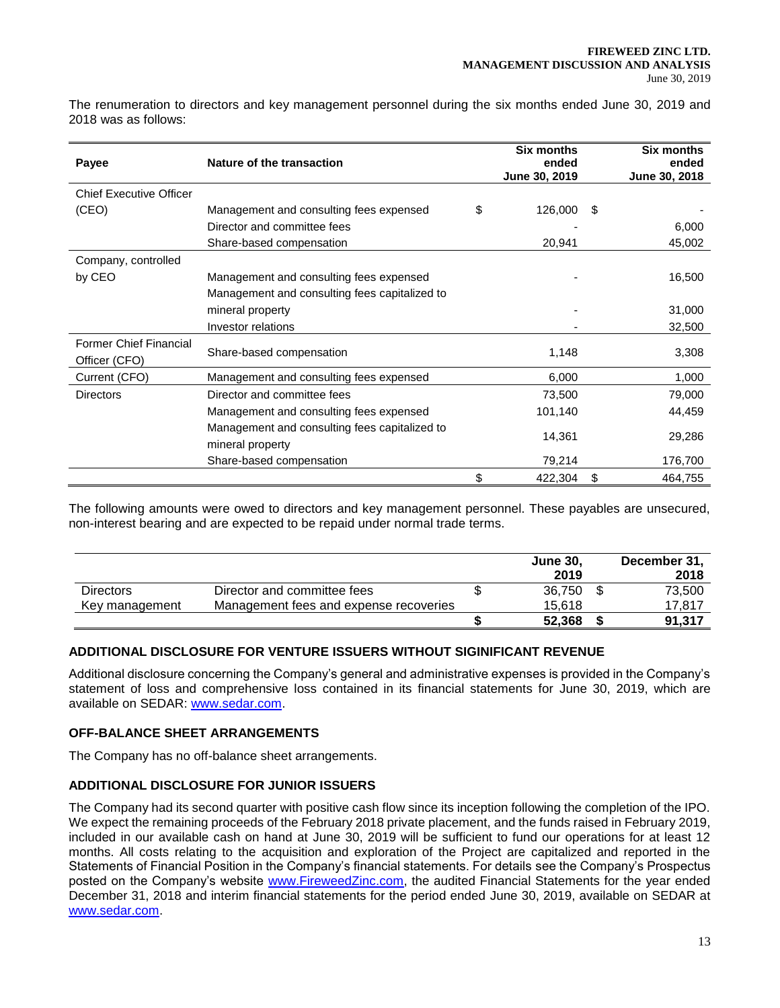The renumeration to directors and key management personnel during the six months ended June 30, 2019 and 2018 was as follows:

| Payee                                          | Nature of the transaction                     | <b>Six months</b><br>ended<br>June 30, 2019 |    | <b>Six months</b><br>ended<br>June 30, 2018 |
|------------------------------------------------|-----------------------------------------------|---------------------------------------------|----|---------------------------------------------|
| <b>Chief Executive Officer</b>                 |                                               |                                             |    |                                             |
| (CEO)                                          | Management and consulting fees expensed       | \$<br>126,000                               | S  |                                             |
|                                                | Director and committee fees                   |                                             |    | 6,000                                       |
|                                                | Share-based compensation                      | 20,941                                      |    | 45,002                                      |
| Company, controlled                            |                                               |                                             |    |                                             |
| by CEO                                         | Management and consulting fees expensed       |                                             |    | 16,500                                      |
|                                                | Management and consulting fees capitalized to |                                             |    |                                             |
|                                                | mineral property                              |                                             |    | 31,000                                      |
|                                                | Investor relations                            |                                             |    | 32,500                                      |
| <b>Former Chief Financial</b><br>Officer (CFO) | Share-based compensation                      | 1,148                                       |    | 3,308                                       |
| Current (CFO)                                  | Management and consulting fees expensed       | 6,000                                       |    | 1,000                                       |
| <b>Directors</b>                               | Director and committee fees                   | 73,500                                      |    | 79,000                                      |
|                                                | Management and consulting fees expensed       | 101,140                                     |    | 44,459                                      |
|                                                | Management and consulting fees capitalized to |                                             |    |                                             |
|                                                | mineral property                              | 14,361                                      |    | 29,286                                      |
|                                                | Share-based compensation                      | 79,214                                      |    | 176,700                                     |
|                                                |                                               | \$<br>422,304                               | \$ | 464,755                                     |

The following amounts were owed to directors and key management personnel. These payables are unsecured, non-interest bearing and are expected to be repaid under normal trade terms.

|                  |                                        | <b>June 30.</b><br>2019 | December 31,<br>2018 |
|------------------|----------------------------------------|-------------------------|----------------------|
| <b>Directors</b> | Director and committee fees            | 36.750                  | 73,500               |
| Key management   | Management fees and expense recoveries | 15.618                  | 17,817               |
|                  |                                        | 52.368                  | 91,317               |

## **ADDITIONAL DISCLOSURE FOR VENTURE ISSUERS WITHOUT SIGINIFICANT REVENUE**

Additional disclosure concerning the Company's general and administrative expenses is provided in the Company's statement of loss and comprehensive loss contained in its financial statements for June 30, 2019, which are available on SEDAR: [www.sedar.com.](http://www.sedar.com/)

### **OFF-BALANCE SHEET ARRANGEMENTS**

The Company has no off-balance sheet arrangements.

### **ADDITIONAL DISCLOSURE FOR JUNIOR ISSUERS**

The Company had its second quarter with positive cash flow since its inception following the completion of the IPO. We expect the remaining proceeds of the February 2018 private placement, and the funds raised in February 2019, included in our available cash on hand at June 30, 2019 will be sufficient to fund our operations for at least 12 months. All costs relating to the acquisition and exploration of the Project are capitalized and reported in the Statements of Financial Position in the Company's financial statements. For details see the Company's Prospectus posted on the Company's website [www.FireweedZinc.com,](http://www.fireweedzinc.com/) the audited Financial Statements for the year ended December 31, 2018 and interim financial statements for the period ended June 30, 2019, available on SEDAR at [www.sedar.com.](http://www.sedar.com/)